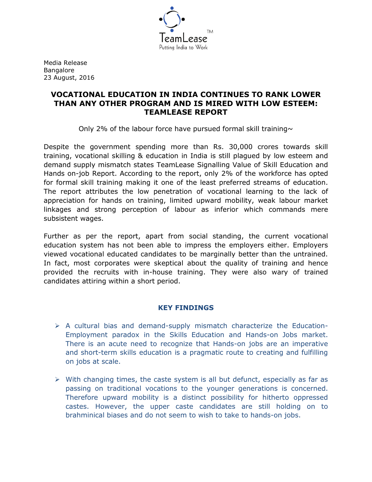

Media Release Bangalore 23 August, 2016

# **VOCATIONAL EDUCATION IN INDIA CONTINUES TO RANK LOWER THAN ANY OTHER PROGRAM AND IS MIRED WITH LOW ESTEEM: TEAMLEASE REPORT**

Only 2% of the labour force have pursued formal skill training $\sim$ 

Despite the government spending more than Rs. 30,000 crores towards skill training, vocational skilling & education in India is still plagued by low esteem and demand supply mismatch states TeamLease Signalling Value of Skill Education and Hands on-job Report. According to the report, only 2% of the workforce has opted for formal skill training making it one of the least preferred streams of education. The report attributes the low penetration of vocational learning to the lack of appreciation for hands on training, limited upward mobility, weak labour market linkages and strong perception of labour as inferior which commands mere subsistent wages.

Further as per the report, apart from social standing, the current vocational education system has not been able to impress the employers either. Employers viewed vocational educated candidates to be marginally better than the untrained. In fact, most corporates were skeptical about the quality of training and hence provided the recruits with in-house training. They were also wary of trained candidates attiring within a short period.

# **KEY FINDINGS**

- $\triangleright$  A cultural bias and demand-supply mismatch characterize the Education-Employment paradox in the Skills Education and Hands-on Jobs market. There is an acute need to recognize that Hands-on jobs are an imperative and short-term skills education is a pragmatic route to creating and fulfilling on jobs at scale.
- $\triangleright$  With changing times, the caste system is all but defunct, especially as far as passing on traditional vocations to the younger generations is concerned. Therefore upward mobility is a distinct possibility for hitherto oppressed castes. However, the upper caste candidates are still holding on to brahminical biases and do not seem to wish to take to hands-on jobs.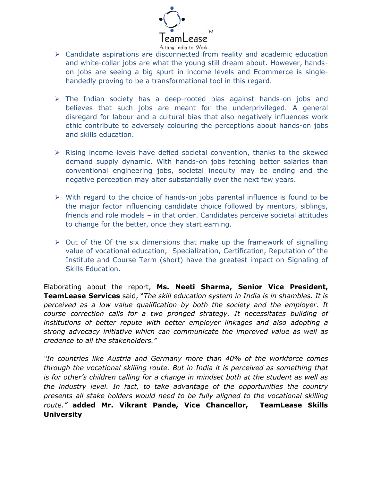

- $\triangleright$  Candidate aspirations are disconnected from reality and academic education and white-collar jobs are what the young still dream about. However, handson jobs are seeing a big spurt in income levels and Ecommerce is singlehandedly proving to be a transformational tool in this regard.
- $\triangleright$  The Indian society has a deep-rooted bias against hands-on jobs and believes that such jobs are meant for the underprivileged. A general disregard for labour and a cultural bias that also negatively influences work ethic contribute to adversely colouring the perceptions about hands-on jobs and skills education.
- $\triangleright$  Rising income levels have defied societal convention, thanks to the skewed demand supply dynamic. With hands-on jobs fetching better salaries than conventional engineering jobs, societal inequity may be ending and the negative perception may alter substantially over the next few years.
- $\triangleright$  With regard to the choice of hands-on jobs parental influence is found to be the major factor influencing candidate choice followed by mentors, siblings, friends and role models – in that order. Candidates perceive societal attitudes to change for the better, once they start earning.
- $\triangleright$  Out of the Of the six dimensions that make up the framework of signalling value of vocational education, Specialization, Certification, Reputation of the Institute and Course Term (short) have the greatest impact on Signaling of Skills Education.

Elaborating about the report, **Ms. Neeti Sharma, Senior Vice President, TeamLease Services** said, "*The skill education system in India is in shambles. It is perceived as a low value qualification by both the society and the employer. It course correction calls for a two pronged strategy. It necessitates building of institutions of better repute with better employer linkages and also adopting a strong advocacy initiative which can communicate the improved value as well as credence to all the stakeholders."*

*"In countries like Austria and Germany more than 40% of the workforce comes through the vocational skilling route. But in India it is perceived as something that is for other's children calling for a change in mindset both at the student as well as the industry level. In fact, to take advantage of the opportunities the country presents all stake holders would need to be fully aligned to the vocational skilling route."* **added Mr. Vikrant Pande, Vice Chancellor, TeamLease Skills University**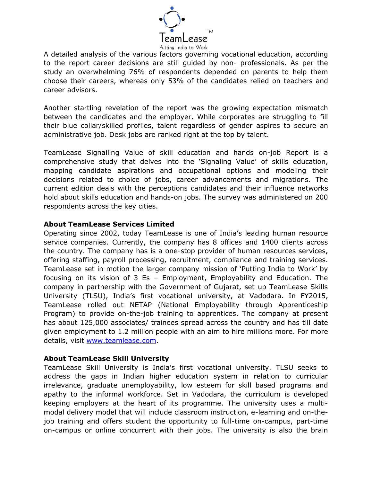

A detailed analysis of the various factors governing vocational education, according to the report career decisions are still guided by non- professionals. As per the study an overwhelming 76% of respondents depended on parents to help them choose their careers, whereas only 53% of the candidates relied on teachers and career advisors.

Another startling revelation of the report was the growing expectation mismatch between the candidates and the employer. While corporates are struggling to fill their blue collar/skilled profiles, talent regardless of gender aspires to secure an administrative job. Desk jobs are ranked right at the top by talent.

TeamLease Signalling Value of skill education and hands on-job Report is a comprehensive study that delves into the 'Signaling Value' of skills education, mapping candidate aspirations and occupational options and modeling their decisions related to choice of jobs, career advancements and migrations. The current edition deals with the perceptions candidates and their influence networks hold about skills education and hands-on jobs. The survey was administered on 200 respondents across the key cities.

#### **About TeamLease Services Limited**

Operating since 2002, today TeamLease is one of India's leading human resource service companies. Currently, the company has 8 offices and 1400 clients across the country. The company has is a one-stop provider of human resources services, offering staffing, payroll processing, recruitment, compliance and training services. TeamLease set in motion the larger company mission of 'Putting India to Work' by focusing on its vision of 3 Es – Employment, Employability and Education. The company in partnership with the Government of Gujarat, set up TeamLease Skills University (TLSU), India's first vocational university, at Vadodara. In FY2015, TeamLease rolled out NETAP (National Employability through Apprenticeship Program) to provide on-the-job training to apprentices. The company at present has about 125,000 associates/ trainees spread across the country and has till date given employment to 1.2 million people with an aim to hire millions more. For more details, visit [www.teamlease.com.](http://www.teamlease.com/)

## **About TeamLease Skill University**

TeamLease Skill University is India's first vocational university. TLSU seeks to address the gaps in Indian higher education system in relation to curricular irrelevance, graduate unemployability, low esteem for skill based programs and apathy to the informal workforce. Set in Vadodara, the curriculum is developed keeping employers at the heart of its programme. The university uses a multimodal delivery model that will include classroom instruction, e-learning and on-thejob training and offers student the opportunity to full-time on-campus, part-time on-campus or online concurrent with their jobs. The university is also the brain